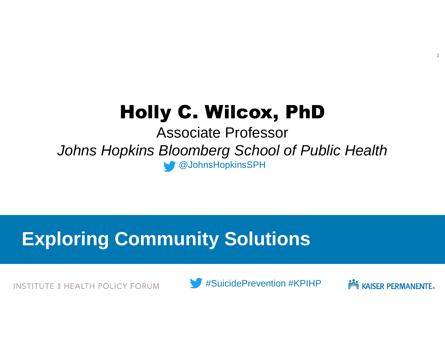# Holly C. Wilcox, PhD

Associate Professor *Johns Hopkins Bloomberg School of Public Health* @JohnsHopkinsSPH

## **Exploring Community Solutions**

INSTITUTE & HEALTH POLICY FORUM





1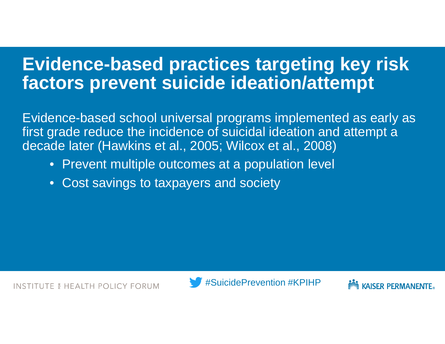## **Evidence-based practices targeting key risk factors prevent suicide ideation/attempt**

Evidence-based school universal programs implemented as early as first grade reduce the incidence of suicidal ideation and attempt a decade later (Hawkins et al., 2005; Wilcox et al., 2008)

- Prevent multiple outcomes at a population level
- Cost savings to taxpayers and society



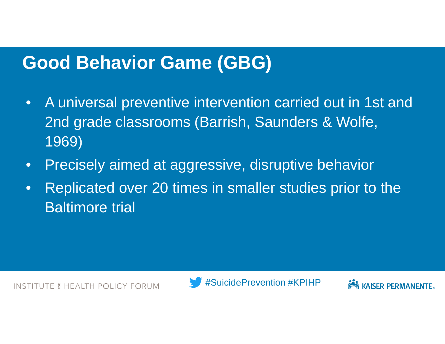## **Good Behavior Game (GBG)**

- A universal preventive intervention carried out in 1st and 2nd grade classrooms (Barrish, Saunders & Wolfe, 1969)
- Precisely aimed at aggressive, disruptive behavior
- Replicated over 20 times in smaller studies prior to the Baltimore trial



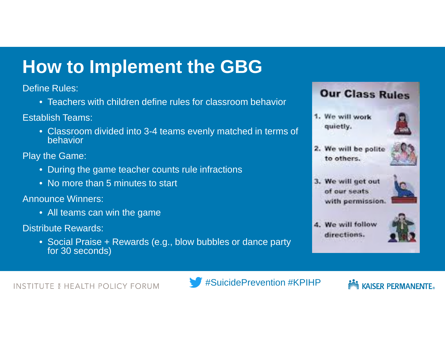## **How to Implement the GBG**

Define Rules:

• Teachers with children define rules for classroom behavior

Establish Teams:

• Classroom divided into 3-4 teams evenly matched in terms of behavior

Play the Game:

- During the game teacher counts rule infractions
- No more than 5 minutes to start

Announce Winners:

• All teams can win the game

Distribute Rewards:

• Social Praise + Rewards (e.g., blow bubbles or dance party for 30 seconds)



1. We will work quietly.



2. We will be polite to others.



3. We will get out of our seats. with permission





INSTITUTE & HEALTH POLICY FORUM



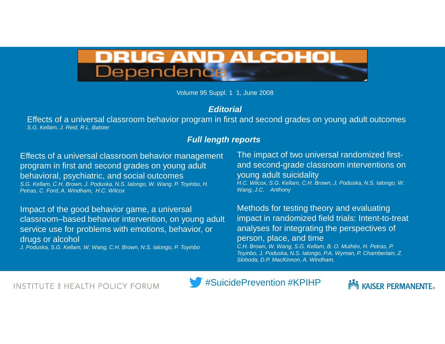

Volume 95 Suppl. 1 1, June 2008

#### *Editorial*

Effects of a universal classroom behavior program in first and second grades on young adult outcomes *S.G. Kellam, J. Reid, R.L. Balster*

#### *Full length reports*

Effects of a universal classroom behavior management program in first and second grades on young adult behavioral, psychiatric, and social outcomes *S.G. Kellam, C.H. Brown, J. Poduska, N.S. Ialongo, W. Wang. P. Toyinbo, H. Petras, C. Ford, A. Windham, H.C. Wilcox*

Impact of the good behavior game, a universal classroom–based behavior intervention, on young adult service use for problems with emotions, behavior, or drugs or alcohol

*J. Poduska, S.G. Kellam, W. Wang, C.H. Brown, N.S. Ialongo, P. Toyinbo*

The impact of two universal randomized firstand second-grade classroom interventions on young adult suicidality *H.C. Wilcox, S.G. Kellam, C.H. Brown, J. Poduska, N.S. Ialongo, W. Wang, J.C. Anthony*

Methods for testing theory and evaluating impact in randomized field trials: Intent-to-treat analyses for integrating the perspectives of person, place, and time

*C.H. Brown, W. Wang, S.G. Kellam, B. O. Muthén, H. Petras, P. Toyinbo, J. Poduska, N.S. Ialongo, P.A. Wyman, P. Chamberlain, Z. Sloboda, D.P. MacKinnon, A. Windham,* 

INSTITUTE 6 HEALTH POLICY FORUM



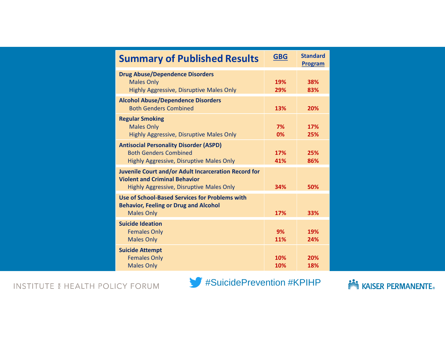| <b>Summary of Published Results</b>                                                                                                      | <b>GBG</b>       | <b>Standard</b><br><b>Program</b> |
|------------------------------------------------------------------------------------------------------------------------------------------|------------------|-----------------------------------|
| <b>Drug Abuse/Dependence Disorders</b><br><b>Males Only</b><br>Highly Aggressive, Disruptive Males Only                                  | 19%<br>29%       | 38%<br>83%                        |
| <b>Alcohol Abuse/Dependence Disorders</b><br><b>Both Genders Combined</b>                                                                | 13%              | 20%                               |
| <b>Regular Smoking</b><br><b>Males Only</b><br>Highly Aggressive, Disruptive Males Only                                                  | 7%<br>0%         | 17%<br>25%                        |
| <b>Antisocial Personality Disorder (ASPD)</b><br><b>Both Genders Combined</b><br>Highly Aggressive, Disruptive Males Only                | 17%<br>41%       | 25%<br>86%                        |
| Juvenile Court and/or Adult Incarceration Record for<br><b>Violent and Criminal Behavior</b><br>Highly Aggressive, Disruptive Males Only | 34%              | 50%                               |
| Use of School-Based Services for Problems with<br><b>Behavior, Feeling or Drug and Alcohol</b><br><b>Males Only</b>                      | 17%              | 33%                               |
| <b>Suicide Ideation</b><br><b>Females Only</b><br><b>Males Only</b>                                                                      | 9%<br><b>11%</b> | 19%<br>24%                        |
| <b>Suicide Attempt</b><br><b>Females Only</b><br><b>Males Only</b>                                                                       | 10%<br>10%       | 20%<br>18%                        |

**INSTITUTE & HEALTH POLICY FORUM** 



**Note ASSER PERMANENTE.**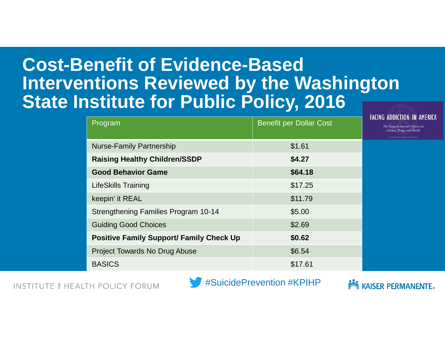## **Cost-Benefit of Evidence-Based Interventions Reviewed by the Washington State Institute for Public Policy, 2016**

| Program                                         | <b>Benefit per Dollar Cost</b> |  |
|-------------------------------------------------|--------------------------------|--|
| <b>Nurse-Family Partnership</b>                 | \$1.61                         |  |
| <b>Raising Healthy Children/SSDP</b>            | \$4.27                         |  |
| <b>Good Behavior Game</b>                       | \$64.18                        |  |
| <b>LifeSkills Training</b>                      | \$17.25                        |  |
| keepin' it REAL                                 | \$11.79                        |  |
| <b>Strengthening Families Program 10-14</b>     | \$5.00                         |  |
| <b>Guiding Good Choices</b>                     | \$2.69                         |  |
| <b>Positive Family Support/ Family Check Up</b> | \$0.62                         |  |
| <b>Project Towards No Drug Abuse</b>            | \$6.54                         |  |
| <b>BASICS</b>                                   | \$17.61                        |  |

**INSTITUTE & HEALTH POLICY FORUM** 



**SVI KAISER PERMANENTE** 

The Surgeon General's Report on Alcohol, Drugs, and Health

**FACING ADDICTION IN AMERICA**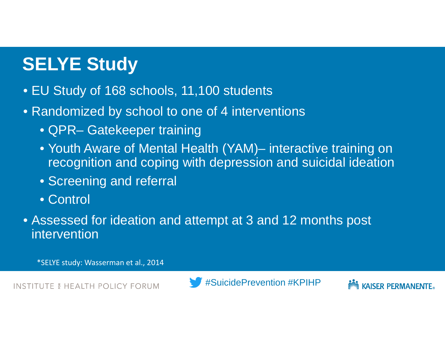## **SELYE Study**

- EU Study of 168 schools, 11,100 students
- Randomized by school to one of 4 interventions
	- QPR– Gatekeeper training
	- Youth Aware of Mental Health (YAM)– interactive training on recognition and coping with depression and suicidal ideation
	- Screening and referral
	- Control
- Assessed for ideation and attempt at 3 and 12 months post intervention

\*SELYE study: Wasserman et al., 2014

**INSTITUTE & HEALTH POLICY FORUM** 



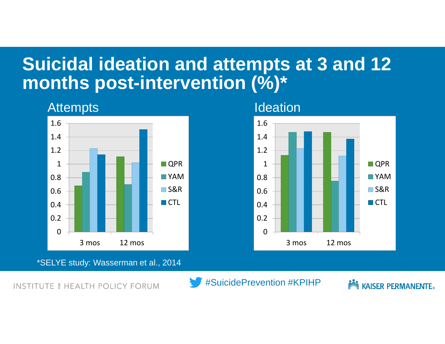## **Suicidal ideation and attempts at 3 and 12 months post-intervention (%)\***

#### **Attempts**



<sup>\*</sup>SELYE study: Wasserman et al., 2014

**INSTITUTE & HEALTH POLICY FORUM** 

#SuicidePrevention #KPIHP

*<u>Alliza</u>* **KAISER PERMANENTE.** 

**Ideation** 

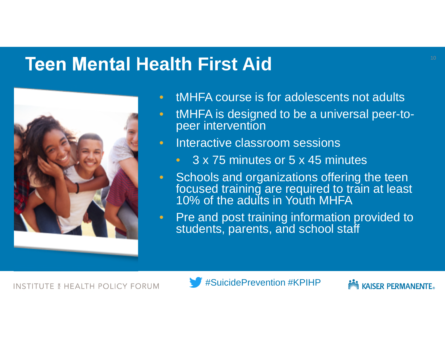### **Teen Mental Health First Aid**



- tMHFA course is for adolescents not adults
- tMHFA is designed to be a universal peer-topeer intervention
- Interactive classroom sessions
	- 3 x 75 minutes or 5 x 45 minutes
- Schools and organizations offering the teen focused training are required to train at least 10% of the adults in Youth MHFA
- Pre and post training information provided to students, parents, and school staff



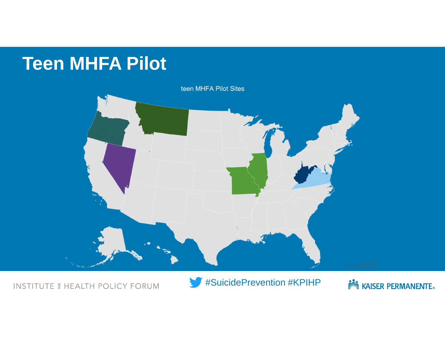## **Teen MHFA Pilot**



**INSTITUTE & HEALTH POLICY FORUM** 



**NOW KAISER PERMANENTE.**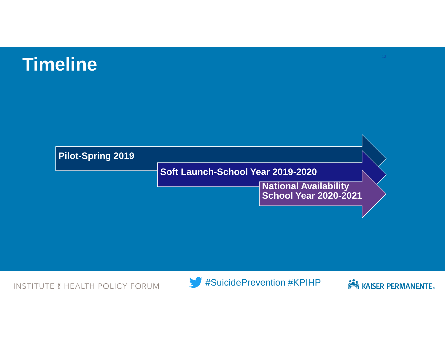## **Timeline**



**INSTITUTE & HEALTH POLICY FORUM** 



**NOW KAISER PERMANENTE.**